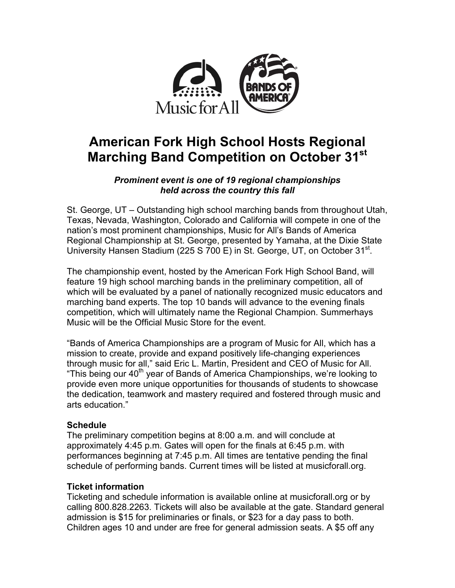

# **American Fork High School Hosts Regional Marching Band Competition on October 31st**

## *Prominent event is one of 19 regional championships held across the country this fall*

St. George, UT – Outstanding high school marching bands from throughout Utah, Texas, Nevada, Washington, Colorado and California will compete in one of the nation's most prominent championships, Music for All's Bands of America Regional Championship at St. George, presented by Yamaha, at the Dixie State University Hansen Stadium (225 S 700 E) in St. George, UT, on October 31<sup>st</sup>.

The championship event, hosted by the American Fork High School Band, will feature 19 high school marching bands in the preliminary competition, all of which will be evaluated by a panel of nationally recognized music educators and marching band experts. The top 10 bands will advance to the evening finals competition, which will ultimately name the Regional Champion. Summerhays Music will be the Official Music Store for the event.

"Bands of America Championships are a program of Music for All, which has a mission to create, provide and expand positively life-changing experiences through music for all," said Eric L. Martin, President and CEO of Music for All. "This being our 40<sup>th</sup> year of Bands of America Championships, we're looking to provide even more unique opportunities for thousands of students to showcase the dedication, teamwork and mastery required and fostered through music and arts education."

# **Schedule**

The preliminary competition begins at 8:00 a.m. and will conclude at approximately 4:45 p.m. Gates will open for the finals at 6:45 p.m. with performances beginning at 7:45 p.m. All times are tentative pending the final schedule of performing bands. Current times will be listed at musicforall.org.

#### **Ticket information**

Ticketing and schedule information is available online at musicforall.org or by calling 800.828.2263. Tickets will also be available at the gate. Standard general admission is \$15 for preliminaries or finals, or \$23 for a day pass to both. Children ages 10 and under are free for general admission seats. A \$5 off any